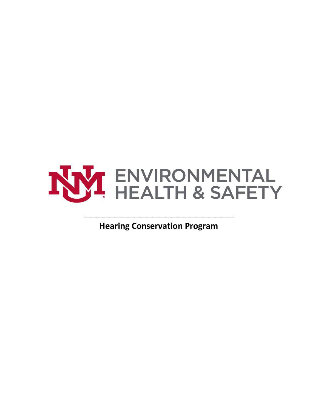

 **Hearing Conservation Program**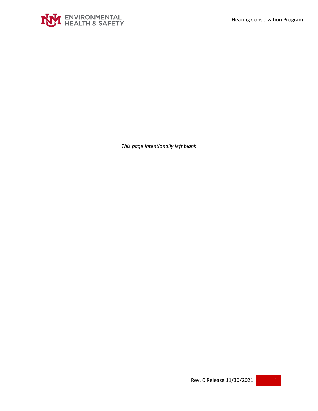

*This page intentionally left blank*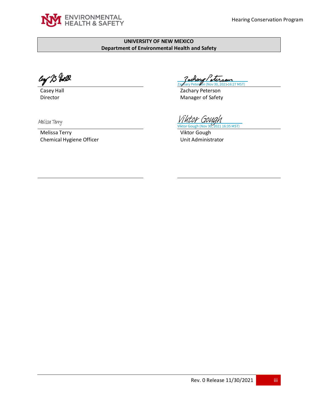

#### **UNIVERSITY OF NEW MEXICO Department of Environmental Health and Safety**

ley 13 Hell

Casey Hall Director

acharen Paterna  $\arg$  Peter $\kappa$ n (Nov 30, 2021 16:27 MST)

Zachary Peterson Manager of Safety

Melissa Terry

Melissa Terry Chemical Hygiene Officer

 $16:35$  MST) [Viktor Gough](https://secure.na2.echosign.com/verifier?tx=CBJCHBCAABAAm_Ll4y6_gz2BtoGjhj-WnURcr7rLkToj)

Viktor Gough Unit Administrator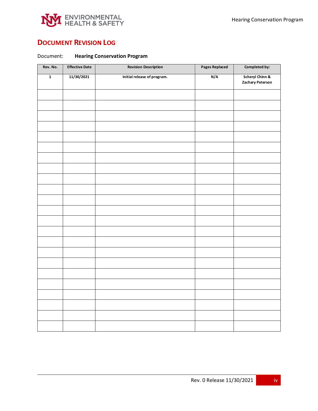

# **DOCUMENT REVISION LOG**

#### Document: **Hearing Conservation Program**

| Rev. No.                | <b>Effective Date</b> | <b>Revision Description</b> | <b>Pages Replaced</b> | Completed by:                       |
|-------------------------|-----------------------|-----------------------------|-----------------------|-------------------------------------|
| $\overline{\mathbf{1}}$ | 11/30/2021            | Initial release of program. | N/A                   | Scheryl Chinn &<br>Zachary Peterson |
|                         |                       |                             |                       |                                     |
|                         |                       |                             |                       |                                     |
|                         |                       |                             |                       |                                     |
|                         |                       |                             |                       |                                     |
|                         |                       |                             |                       |                                     |
|                         |                       |                             |                       |                                     |
|                         |                       |                             |                       |                                     |
|                         |                       |                             |                       |                                     |
|                         |                       |                             |                       |                                     |
|                         |                       |                             |                       |                                     |
|                         |                       |                             |                       |                                     |
|                         |                       |                             |                       |                                     |
|                         |                       |                             |                       |                                     |
|                         |                       |                             |                       |                                     |
|                         |                       |                             |                       |                                     |
|                         |                       |                             |                       |                                     |
|                         |                       |                             |                       |                                     |
|                         |                       |                             |                       |                                     |
|                         |                       |                             |                       |                                     |
|                         |                       |                             |                       |                                     |
|                         |                       |                             |                       |                                     |
|                         |                       |                             |                       |                                     |
|                         |                       |                             |                       |                                     |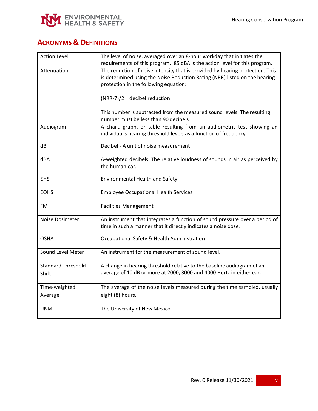

# **ACRONYMS & DEFINITIONS**

| <b>Action Level</b>       | The level of noise, averaged over an 8-hour workday that initiates the        |  |
|---------------------------|-------------------------------------------------------------------------------|--|
|                           | requirements of this program. 85 dBA is the action level for this program.    |  |
| Attenuation               | The reduction of noise intensity that is provided by hearing protection. This |  |
|                           | is determined using the Noise Reduction Rating (NRR) listed on the hearing    |  |
|                           | protection in the following equation:                                         |  |
|                           |                                                                               |  |
|                           | $(NRR-7)/2$ = decibel reduction                                               |  |
|                           |                                                                               |  |
|                           | This number is subtracted from the measured sound levels. The resulting       |  |
|                           | number must be less than 90 decibels.                                         |  |
| Audiogram                 | A chart, graph, or table resulting from an audiometric test showing an        |  |
|                           | individual's hearing threshold levels as a function of frequency.             |  |
| dB                        | Decibel - A unit of noise measurement                                         |  |
|                           |                                                                               |  |
| dBA                       | A-weighted decibels. The relative loudness of sounds in air as perceived by   |  |
|                           | the human ear.                                                                |  |
|                           |                                                                               |  |
| <b>EHS</b>                | Environmental Health and Safety                                               |  |
| <b>EOHS</b>               | <b>Employee Occupational Health Services</b>                                  |  |
|                           |                                                                               |  |
| FM                        | <b>Facilities Management</b>                                                  |  |
|                           |                                                                               |  |
| Noise Dosimeter           | An instrument that integrates a function of sound pressure over a period of   |  |
|                           | time in such a manner that it directly indicates a noise dose.                |  |
| <b>OSHA</b>               | Occupational Safety & Health Administration                                   |  |
|                           |                                                                               |  |
| Sound Level Meter         | An instrument for the measurement of sound level.                             |  |
|                           |                                                                               |  |
| <b>Standard Threshold</b> | A change in hearing threshold relative to the baseline audiogram of an        |  |
| Shift                     | average of 10 dB or more at 2000, 3000 and 4000 Hertz in either ear.          |  |
|                           |                                                                               |  |
| Time-weighted             | The average of the noise levels measured during the time sampled, usually     |  |
| Average                   | eight (8) hours.                                                              |  |
|                           |                                                                               |  |
| <b>UNM</b>                | The University of New Mexico                                                  |  |
|                           |                                                                               |  |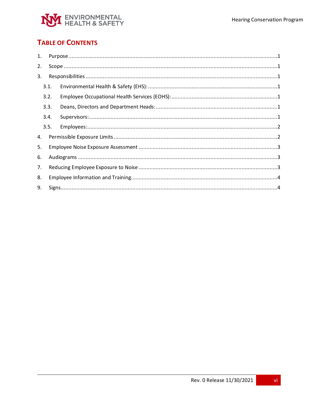

# **TABLE OF CONTENTS**

| 1.           |          |  |  |  |  |  |
|--------------|----------|--|--|--|--|--|
| 2.           |          |  |  |  |  |  |
| 3.           |          |  |  |  |  |  |
| 3.1.         |          |  |  |  |  |  |
| 3.2.<br>3.3. |          |  |  |  |  |  |
|              |          |  |  |  |  |  |
|              | 3.4.     |  |  |  |  |  |
|              | 3.5.     |  |  |  |  |  |
| 4.           |          |  |  |  |  |  |
| 5.           |          |  |  |  |  |  |
| 6.           |          |  |  |  |  |  |
| 7.           |          |  |  |  |  |  |
| 8.           |          |  |  |  |  |  |
| 9.           | $Signs4$ |  |  |  |  |  |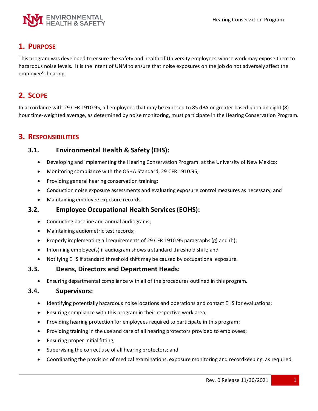<span id="page-6-7"></span>

## <span id="page-6-0"></span>**1. PURPOSE**

This program was developed to ensure the safety and health of University employees whose work may expose them to hazardous noise levels. It is the intent of UNM to ensure that noise exposures on the job do not adversely affect the employee's hearing.

## <span id="page-6-1"></span>**2. SCOPE**

In accordance with 29 CFR 1910.95, all employees that may be exposed to 85 dBA or greater based upon an eight (8) hour time-weighted average, as determined by noise monitoring, must participate in the Hearing Conservation Program.

### <span id="page-6-2"></span>**3. RESPONSIBILITIES**

### <span id="page-6-3"></span>**3.1. Environmental Health & Safety (EHS):**

- Developing and implementing the Hearing Conservation Program at the University of New Mexico;
- Monitoring compliance with the OSHA Standard, 29 CFR 1910.95;
- Providing general hearing conservation training;
- Conduction noise exposure assessments and evaluating exposure control measures as necessary; and
- Maintaining employee exposure records.

### <span id="page-6-4"></span>**3.2. Employee Occupational Health Services (EOHS):**

- Conducting baseline and annual audiograms;
- Maintaining audiometric test records;
- Properly implementing all requirements of 29 CFR 1910.95 paragraphs (g) and (h);
- Informing employee(s) if audiogram shows a standard threshold shift; and
- Notifying EHS if standard threshold shift may be caused by occupational exposure.

#### <span id="page-6-5"></span>**3.3. Deans, Directors and Department Heads:**

Ensuring departmental compliance with all of the procedures outlined in this program.

#### <span id="page-6-6"></span>**3.4. Supervisors:**

- Identifying potentially hazardous noise locations and operations and contact EHS for evaluations;
- Ensuring compliance with this program in their respective work area;
- Providing hearing protection for employees required to participate in this program;
- Providing training in the use and care of all hearing protectors provided to employees;
- Ensuring proper initial fitting;
- Supervising the correct use of all hearing protectors; and
- Coordinating the provision of medical examinations, exposure monitoring and recordkeeping, as required.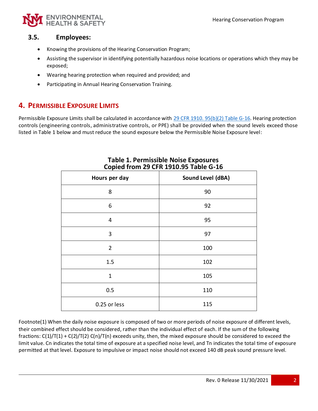<span id="page-7-2"></span>

### <span id="page-7-0"></span>**3.5. Employees:**

- Knowing the provisions of the Hearing Conservation Program;
- Assisting the supervisor in identifying potentially hazardous noise locations or operations which they may be exposed;
- Wearing hearing protection when required and provided; and
- Participating in Annual Hearing Conservation Training.

# <span id="page-7-1"></span>**4. PERMISSIBLE EXPOSURE LIMITS**

Permissible Exposure Limits shall be calculated in accordance with [29 CFR 1910. 95\(b\)\(2\)](https://www.osha.gov/laws-regs/regulations/standardnumber/1910/1910.95) Table G-16. Hearing protection controls (engineering controls, administrative controls, or PPE) shall be provided when the sound levels exceed those listed in Table 1 below and must reduce the sound exposure below the Permissible Noise Exposure level:

| <b>Cobigd ILOW 53 CLK TATO'AD 19DIG Q-TO</b> |                   |  |  |  |
|----------------------------------------------|-------------------|--|--|--|
| Hours per day                                | Sound Level (dBA) |  |  |  |
| 8                                            | 90                |  |  |  |
| 6                                            | 92                |  |  |  |
| 4                                            | 95                |  |  |  |
| 3                                            | 97                |  |  |  |
| $\overline{2}$                               | 100               |  |  |  |
| 1.5                                          | 102               |  |  |  |
| $\mathbf{1}$                                 | 105               |  |  |  |
| 0.5                                          | 110               |  |  |  |
| 0.25 or less                                 | 115               |  |  |  |

### **Table 1. Permissible Noise Exposures Copied from 29 CFR 1910.95 Table G-16**

Footnote(1) When the daily noise exposure is composed of two or more periods of noise exposure of different levels, their combined effect should be considered, rather than the individual effect of each. If the sum of the following fractions:  $C(1)/T(1) + C(2)/T(2) C(n)/T(n)$  exceeds unity, then, the mixed exposure should be considered to exceed the limit value. Cn indicates the total time of exposure at a specified noise level, and Tn indicates the total time of exposure permitted at that level. Exposure to impulsive or impact noise should not exceed 140 dB peak sound pressure level.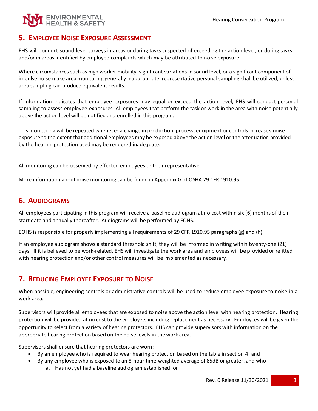<span id="page-8-3"></span>

## <span id="page-8-0"></span>**5. EMPLOYEE NOISE EXPOSURE ASSESSMENT**

EHS will conduct sound level surveys in areas or during tasks suspected of exceeding the action level, or during tasks and/or in areas identified by employee complaints which may be attributed to noise exposure.

Where circumstances such as high worker mobility, significant variations in sound level, or a significant component of impulse noise make area monitoring generally inappropriate, representative personal sampling shall be utilized, unless area sampling can produce equivalent results.

If information indicates that employee exposures may equal or exceed the action level, EHS will conduct personal sampling to assess employee exposures. All employees that perform the task or work in the area with noise potentially above the action level will be notified and enrolled in this program.

This monitoring will be repeated whenever a change in production, process, equipment or controls increases noise exposure to the extent that additional employees may be exposed above the action level or the attenuation provided by the hearing protection used may be rendered inadequate.

All monitoring can be observed by effected employees or their representative.

<span id="page-8-1"></span>More information about noise monitoring can be found in Appendix G of OSHA 29 CFR 1910.95

### **6. AUDIOGRAMS**

All employees participating in this program will receive a baseline audiogram at no cost within six (6) months of their start date and annually thereafter. Audiograms will be performed by EOHS.

EOHS is responsible for properly implementing all requirements of 29 CFR 1910.95 paragraphs (g) and (h).

If an employee audiogram shows a standard threshold shift, they will be informed in writing within twenty-one (21) days. If it is believed to be work-related, EHS will investigate the work area and employees will be provided or refitted with hearing protection and/or other control measures will be implemented as necessary.

# <span id="page-8-2"></span>**7. REDUCING EMPLOYEE EXPOSURE TO NOISE**

When possible, engineering controls or administrative controls will be used to reduce employee exposure to noise in a work area.

Supervisors will provide all employees that are exposed to noise above the action level with hearing protection. Hearing protection will be provided at no cost to the employee, including replacement as necessary. Employees will be given the opportunity to select from a variety of hearing protectors. EHS can provide supervisors with information on the appropriate hearing protection based on the noise levels in the work area.

Supervisors shall ensure that hearing protectors are worn:

- By an employee who is required to wear hearing protection based on the table in section 4; and
- By any employee who is exposed to an 8-hour time-weighted average of 85dB or greater, and who
	- a. Has not yet had a baseline audiogram established; or